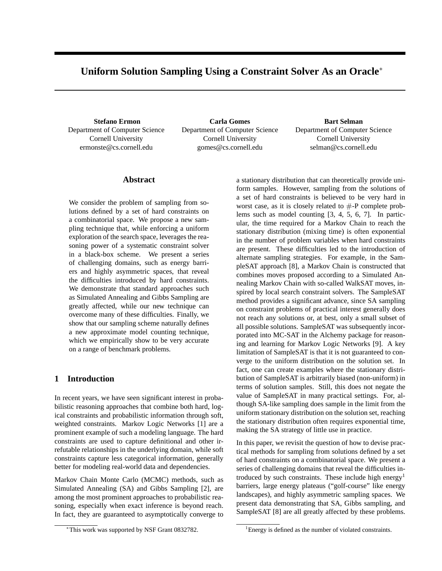# **Uniform Solution Sampling Using a Constraint Solver As an Oracle**<sup>∗</sup>

**Stefano Ermon** Department of Computer Science Cornell University ermonste@cs.cornell.edu

**Carla Gomes** Department of Computer Science Cornell University gomes@cs.cornell.edu

**Bart Selman** Department of Computer Science Cornell University selman@cs.cornell.edu

# **Abstract**

We consider the problem of sampling from solutions defined by a set of hard constraints on a combinatorial space. We propose a new sampling technique that, while enforcing a uniform exploration of the search space, leverages the reasoning power of a systematic constraint solver in a black-box scheme. We present a series of challenging domains, such as energy barriers and highly asymmetric spaces, that reveal the difficulties introduced by hard constraints. We demonstrate that standard approaches such as Simulated Annealing and Gibbs Sampling are greatly affected, while our new technique can overcome many of these difficulties. Finally, we show that our sampling scheme naturally defines a new approximate model counting technique, which we empirically show to be very accurate on a range of benchmark problems.

# **1 Introduction**

In recent years, we have seen significant interest in probabilistic reasoning approaches that combine both hard, logical constraints and probabilistic information through soft, weighted constraints. Markov Logic Networks [1] are a prominent example of such a modeling language. The hard constraints are used to capture definitional and other irrefutable relationships in the underlying domain, while soft constraints capture less categorical information, generally better for modeling real-world data and dependencies.

Markov Chain Monte Carlo (MCMC) methods, such as Simulated Annealing (SA) and Gibbs Sampling [2], are among the most prominent approaches to probabilistic reasoning, especially when exact inference is beyond reach. In fact, they are guaranteed to asymptotically converge to

a stationary distribution that can theoretically provide uniform samples. However, sampling from the solutions of a set of hard constraints is believed to be very hard in worst case, as it is closely related to  $#$ -P complete problems such as model counting [3, 4, 5, 6, 7]. In particular, the time required for a Markov Chain to reach the stationary distribution (mixing time) is often exponential in the number of problem variables when hard constraints are present. These difficulties led to the introduction of alternate sampling strategies. For example, in the SampleSAT approach [8], a Markov Chain is constructed that combines moves proposed according to a Simulated Annealing Markov Chain with so-called WalkSAT moves, inspired by local search constraint solvers. The SampleSAT method provides a significant advance, since SA sampling on constraint problems of practical interest generally does not reach any solutions or, at best, only a small subset of all possible solutions. SampleSAT was subsequently incorporated into MC-SAT in the Alchemy package for reasoning and learning for Markov Logic Networks [9]. A key limitation of SampleSAT is that it is not guaranteed to converge to the uniform distribution on the solution set. In fact, one can create examples where the stationary distribution of SampleSAT is arbitrarily biased (non-uniform) in terms of solution samples. Still, this does not negate the value of SampleSAT in many practical settings. For, although SA-like sampling does sample in the limit from the uniform stationary distribution on the solution set, reaching the stationary distribution often requires exponential time, making the SA strategy of little use in practice.

In this paper, we revisit the question of how to devise practical methods for sampling from solutions defined by a set of hard constraints on a combinatorial space. We present a series of challenging domains that reveal the difficulties introduced by such constraints. These include high energy<sup>1</sup> barriers, large energy plateaus ("golf-course" like energy landscapes), and highly asymmetric sampling spaces. We present data demonstrating that SA, Gibbs sampling, and SampleSAT [8] are all greatly affected by these problems.

<sup>∗</sup>This work was supported by NSF Grant 0832782.

<sup>&</sup>lt;sup>1</sup>Energy is defined as the number of violated constraints.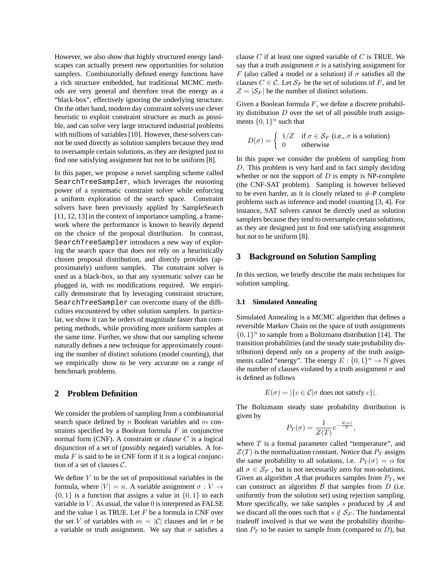However, we also show that highly structured energy landscapes can actually present new opportunities for solution samplers. Combinatorially defined energy functions have a rich structure embedded, but traditional MCMC methods are very general and therefore treat the energy as a "black-box", effectively ignoring the underlying structure. On the other hand, modern day constraint solvers use clever heuristic to exploit constraint structure as much as possible, and can solve very large structured industrial problems with millions of variables [10]. However, these solvers cannot be used directly as solution samplers because they tend to oversample certain solutions, as they are designed just to find one satisfying assignment but not to be uniform [8].

In this paper, we propose a novel sampling scheme called SearchTreeSampler, which leverages the reasoning power of a systematic constraint solver while enforcing a uniform exploration of the search space. Constraint solvers have been previously applied by SampleSearch [11, 12, 13] in the context of importance sampling, a framework where the performance is known to heavily depend on the choice of the proposal distribution. In contrast, SearchTreeSampler introduces a new way of exploring the search space that does not rely on a heuristically chosen proposal distribution, and directly provides (approximately) uniform samples. The constraint solver is used as a black-box, so that any systematic solver can be plugged in, with no modifications required. We empirically demonstrate that by leveraging constraint structure, SearchTreeSampler can overcome many of the difficulties encountered by other solution samplers. In particular, we show it can be orders of magnitude faster than competing methods, while providing more uniform samples at the same time. Further, we show that our sampling scheme naturally defines a new technique for approximately counting the number of distinct solutions (model counting), that we empirically show to be very accurate on a range of benchmark problems.

# **2 Problem Definition**

We consider the problem of sampling from a combinatorial search space defined by  $n$  Boolean variables and  $m$  constraints specified by a Boolean formula  $F$  in conjunctive normal form (CNF). A constraint or *clause* C is a logical disjunction of a set of (possibly negated) variables. A formula  $F$  is said to be in CNF form if it is a logical conjunction of a set of clauses C.

We define  $V$  to be the set of propositional variables in the formula, where  $|V| = n$ . A variable assignment  $\sigma : V \to$  $\{0, 1\}$  is a function that assigns a value in  $\{0, 1\}$  to each variable in  $V$ . As usual, the value  $0$  is interpreted as FALSE and the value 1 as TRUE. Let  $F$  be a formula in CNF over the set V of variables with  $m = |\mathcal{C}|$  clauses and let  $\sigma$  be a variable or truth assignment. We say that  $\sigma$  satisfies a clause  $C$  if at least one signed variable of  $C$  is TRUE. We say that a truth assignment  $\sigma$  is a satisfying assignment for F (also called a model or a solution) if  $\sigma$  satisfies all the clauses  $C \in \mathcal{C}$ . Let  $\mathcal{S}_F$  be the set of solutions of F, and let  $Z = |\mathcal{S}_F|$  be the number of distinct solutions.

Given a Boolean formula  $F$ , we define a discrete probability distribution  $D$  over the set of all possible truth assignments  $\{0, 1\}^n$  such that

$$
D(\sigma) = \begin{cases} 1/Z & \text{if } \sigma \in \mathcal{S}_F \text{ (i.e., } \sigma \text{ is a solution)} \\ 0 & \text{otherwise} \end{cases}
$$

In this paper we consider the problem of sampling from D. This problem is very hard and in fact simply deciding whether or not the support of  $D$  is empty is NP-complete (the CNF-SAT problem). Sampling is however believed to be even harder, as it is closely related to  $#$ -P complete problems such as inference and model counting [3, 4]. For instance, SAT solvers cannot be directly used as solution samplers because they tend to oversample certain solutions, as they are designed just to find one satisfying assignment but not to be uniform [8].

## **3 Background on Solution Sampling**

In this section, we briefly describe the main techniques for solution sampling.

### **3.1 Simulated Annealing**

Simulated Annealing is a MCMC algorithm that defines a reversible Markov Chain on the space of truth assignments  $\{0, 1\}^n$  to sample from a Boltzmann distribution [14]. The transition probabilities (and the steady state probability distribution) depend only on a property of the truth assignments called "energy". The energy  $E: \{0, 1\}^n \to \mathbb{N}$  gives the number of clauses violated by a truth assignment  $\sigma$  and is defined as follows

$$
E(\sigma) = |\{c \in \mathcal{C} | \sigma \text{ does not satisfy } c\}|.
$$

The Boltzmann steady state probability distribution is given by

$$
P_T(\sigma) = \frac{1}{Z(T)} e^{-\frac{E(\sigma)}{T}},
$$

where  $T$  is a formal parameter called "temperature", and  $Z(T)$  is the normalization constant. Notice that  $P_T$  assigns the same probability to all solutions, i.e.  $P_T(\sigma) = \alpha$  for all  $\sigma \in S_F$ , but is not necessarily zero for non-solutions. Given an algorithm  $A$  that produces samples from  $P_T$ , we can construct an algorithm  $\beta$  that samples from  $D$  (i.e. uniformly from the solution set) using rejection sampling. More specifically, we take samples  $s$  produced by  $A$  and we discard all the ones such that  $s \notin S_F$ . The fundamental tradeoff involved is that we want the probability distribution  $P_T$  to be easier to sample from (compared to  $D$ ), but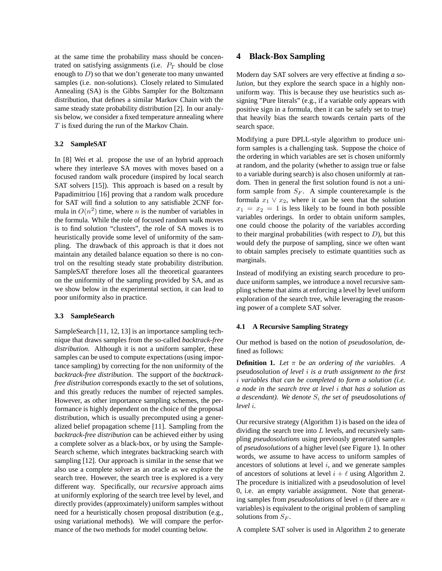at the same time the probability mass should be concentrated on satisfying assignments (i.e.  $P_T$  should be close enough to  $D$ ) so that we don't generate too many unwanted samples (i.e. non-solutions). Closely related to Simulated Annealing (SA) is the Gibbs Sampler for the Boltzmann distribution, that defines a similar Markov Chain with the same steady state probability distribution [2]. In our analysis below, we consider a fixed temperature annealing where T is fixed during the run of the Markov Chain.

## **3.2 SampleSAT**

In [8] Wei et al. propose the use of an hybrid approach where they interleave SA moves with moves based on a focused random walk procedure (inspired by local search SAT solvers [15]). This approach is based on a result by Papadimitriou [16] proving that a random walk procedure for SAT will find a solution to any satisfiable 2CNF formula in  $O(n^2)$  time, where n is the number of variables in the formula. While the role of focused random walk moves is to find solution "clusters", the role of SA moves is to heuristically provide some level of uniformity of the sampling. The drawback of this approach is that it does not maintain any detailed balance equation so there is no control on the resulting steady state probability distribution. SampleSAT therefore loses all the theoretical guarantees on the uniformity of the sampling provided by SA, and as we show below in the experimental section, it can lead to poor uniformity also in practice.

## **3.3 SampleSearch**

SampleSearch [11, 12, 13] is an importance sampling technique that draws samples from the so-called *backtrack-free distribution*. Although it is not a uniform sampler, these samples can be used to compute expectations (using importance sampling) by correcting for the non uniformity of the *backtrack-free distribution*. The support of the *backtrackfree distribution* corresponds exactly to the set of solutions, and this greatly reduces the number of rejected samples. However, as other importance sampling schemes, the performance is highly dependent on the choice of the proposal distribution, which is usually precomputed using a generalized belief propagation scheme [11]. Sampling from the *backtrack-free distribution* can be achieved either by using a complete solver as a black-box, or by using the Sample-Search scheme, which integrates backtracking search with sampling [12]. Our approach is similar in the sense that we also use a complete solver as an oracle as we explore the search tree. However, the search tree is explored is a very different way. Specifically, our *recursive* approach aims at uniformly exploring of the search tree level by level, and directly provides (approximately) uniform samples without need for a heuristically chosen proposal distribution (e.g., using variational methods). We will compare the performance of the two methods for model counting below.

# **4 Black-Box Sampling**

Modern day SAT solvers are very effective at finding *a solution*, but they explore the search space in a highly nonuniform way. This is because they use heuristics such assigning "Pure literals" (e.g., if a variable only appears with positive sign in a formula, then it can be safely set to true) that heavily bias the search towards certain parts of the search space.

Modifying a pure DPLL-style algorithm to produce uniform samples is a challenging task. Suppose the choice of the ordering in which variables are set is chosen uniformly at random, and the polarity (whether to assign true or false to a variable during search) is also chosen uniformly at random. Then in general the first solution found is not a uniform sample from  $S_F$ . A simple counterexample is the formula  $x_1 \vee x_2$ , where it can be seen that the solution  $x_1 = x_2 = 1$  is less likely to be found in both possible variables orderings. In order to obtain uniform samples, one could choose the polarity of the variables according to their marginal probabilities (with respect to  $D$ ), but this would defy the purpose of sampling, since we often want to obtain samples precisely to estimate quantities such as marginals.

Instead of modifying an existing search procedure to produce uniform samples, we introduce a novel recursive sampling scheme that aims at enforcing a level by level uniform exploration of the search tree, while leveraging the reasoning power of a complete SAT solver.

## **4.1 A Recursive Sampling Strategy**

Our method is based on the notion of *pseudosolution*, defined as follows:

**Definition 1.** *Let* π *be an ordering of the variables. A* pseudosolution *of level* i *is a truth assignment to the first* i *variables that can be completed to form a solution (i.e. a node in the search tree at level* i *that has a solution as a descendant). We denote* S<sup>i</sup> *the set of* pseudosolutions *of level* i*.*

Our recursive strategy (Algorithm 1) is based on the idea of dividing the search tree into  $L$  levels, and recursively sampling *pseudosolutions* using previously generated samples of *pseudosolutions* of a higher level (see Figure 1). In other words, we assume to have access to uniform samples of ancestors of solutions at level  $i$ , and we generate samples of ancestors of solutions at level  $i + \ell$  using Algorithm 2. The procedure is initialized with a pseudosolution of level 0, i.e. an empty variable assignment. Note that generating samples from *pseudosolutions* of level n (if there are n variables) is equivalent to the original problem of sampling solutions from  $S_F$ .

A complete SAT solver is used in Algorithm 2 to generate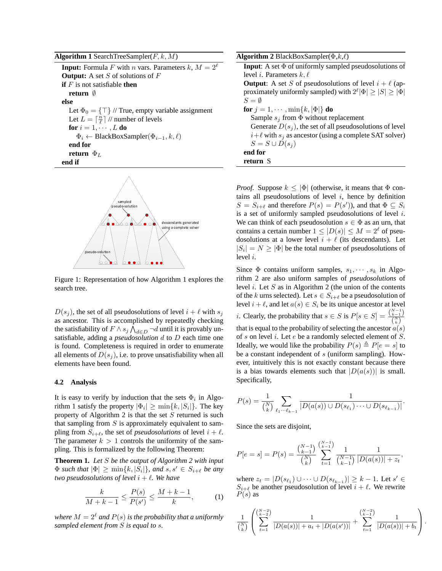**Algorithm 1** SearchTreeSampler $(F, k, M)$ 

**Input:** Formula F with n vars. Parameters  $k$ ,  $M = 2^{\ell}$ **Output:** A set S of solutions of F **if** F is not satisfiable **then return** ∅ **else** Let  $\Phi_0 = {\top}$  // True, empty variable assignment Let  $L = \lceil \frac{n}{\ell} \rceil$  // number of levels **for**  $i = 1, \dots, L$  **do**  $\Phi_i \leftarrow \text{BlackBoxSampler}(\Phi_{i-1}, k, \ell)$ **end for return**  $\Phi_L$ **end if**



Figure 1: Representation of how Algorithm 1 explores the search tree.

 $D(s_j)$ , the set of all pseudosolutions of level  $i + \ell$  with  $s_j$ as ancestor. This is accomplished by repeatedly checking the satisfiability of  $F \wedge s_j \overline{\bigwedge}_{d \in D} \neg d$  until it is provably unsatisfiable, adding a *pseudosolution* d to D each time one is found. Completeness is required in order to enumerate all elements of  $D(s_i)$ , i.e. to prove unsatisfiability when all elements have been found.

#### **4.2 Analysis**

It is easy to verify by induction that the sets  $\Phi_i$  in Algorithm 1 satisfy the property  $|\Phi_i| \ge \min\{k, |S_i|\}$ . The key property of Algorithm 2 is that the set  $S$  returned is such that sampling from  $S$  is approximately equivalent to sampling from  $S_{i+\ell}$ , the set of *pseudosolutions* of level  $i + \ell$ . The parameter  $k > 1$  controls the uniformity of the sampling. This is formalized by the following Theorem:

**Theorem 1.** *Let* S *be the output of Algorithm 2 with input*  $\Phi$  *such that*  $|\Phi| \ge \min\{k, |S_i|\}$ *, and*  $s, s' \in S_{i+\ell}$  *be any two pseudosolutions of level*  $i + \ell$ *. We have* 

$$
\frac{k}{M+k-1} \le \frac{P(s)}{P(s')} \le \frac{M+k-1}{k},
$$
 (1)

*where*  $M = 2^{\ell}$  *and*  $P(s)$  *is the probability that a uniformly sampled element from* S *is equal to* s*.*

| <b>Algorithm 2</b> BlackBoxSampler( $\Phi, k, \ell$ )                     |
|---------------------------------------------------------------------------|
| <b>Input:</b> A set $\Phi$ of uniformly sampled pseudosolutions of        |
| level <i>i</i> . Parameters $k, l$                                        |
| <b>Output:</b> A set S of pseudosolutions of level $i + l$ (ap-           |
| proximately uniformly sampled) with $2^{\ell} \Phi  \geq  S  \geq  \Phi $ |
| $S = \emptyset$                                                           |
| for $j = 1, \dots, \min\{k,  \Phi \}$ do                                  |
| Sample $s_i$ from $\Phi$ without replacement                              |
| Generate $D(s_i)$ , the set of all pseudosolutions of level               |
| $i+\ell$ with $s_i$ as ancestor (using a complete SAT solver)             |
| $S = S \cup D(s_i)$                                                       |
| end for                                                                   |
| return S                                                                  |
|                                                                           |

*Proof.* Suppose  $k \leq |\Phi|$  (otherwise, it means that  $\Phi$  contains all pseudosolutions of level  $i$ , hence by definition  $S = S_{i+\ell}$  and therefore  $P(s) = P(s')$ , and that  $\Phi \subseteq S_i$ is a set of uniformly sampled pseudosolutions of level  $i$ . We can think of each pseudosolution  $s \in \Phi$  as an urn, that contains a certain number  $1 \leq |D(s)| \leq M = 2^{\ell}$  of pseudosolutions at a lower level  $i + \ell$  (its descendants). Let  $|S_i| = N \geq |\Phi|$  be the total number of pseudosolutions of level i.

Since  $\Phi$  contains uniform samples,  $s_1, \dots, s_k$  in Algorithm 2 are also uniform samples of *pseudosolutions* of level  $i$ . Let  $S$  as in Algorithm 2 (the union of the contents of the k urns selected). Let  $s \in S_{i+\ell}$  be a pseudosolution of level  $i + \ell$ , and let  $a(s) \in S_i$  be its unique ancestor at level *i*. Clearly, the probability that  $s \in S$  is  $P[s \in S] = \frac{{N-1 \choose k-1}}{{N \choose k}}$  $\binom{N}{k}$ that is equal to the probability of selecting the ancestor  $a(s)$ of s on level i. Let e be a randomly selected element of S. Ideally, we would like the probability  $P(s) \triangleq P[e = s]$  to be a constant independent of s (uniform sampling). However, intuitively this is not exactly constant because there is a bias towards elements such that  $|D(a(s))|$  is small. Specifically,

$$
P(s) = \frac{1}{\binom{N}{k}} \sum_{\ell_1 \cdots \ell_{k-1}} \frac{1}{|D(a(s)) \cup D(s_{\ell_1}) \cdots \cup D(s_{\ell_{k-1}})|}.
$$

Since the sets are disjoint,

$$
P[e = s] = P(s) = \frac{\binom{N-1}{k-1}}{\binom{N}{k}} \sum_{t=1}^{\binom{N-1}{k-1}} \frac{1}{\binom{N-1}{k-1}} \frac{1}{|D(a(s))| + z_t},
$$

where  $z_t = |D(s_{\ell_1}) \cup \cdots \cup D(s_{\ell_{k-1}})| \geq k-1$ . Let  $s' \in$  $S_{i+\ell}$  be another pseudosolution of level  $i+\ell$ . We rewrite  $P(s)$  as

$$
\frac{1}{\binom{N}{k}}\left(\sum_{t=1}^{\binom{N-2}{k-2}}\frac{1}{|D(a(s))|+a_t+|D(a(s'))|}+\sum_{t=1}^{\binom{N-2}{k-1}}\frac{1}{|D(a(s))|+b_t}\right).
$$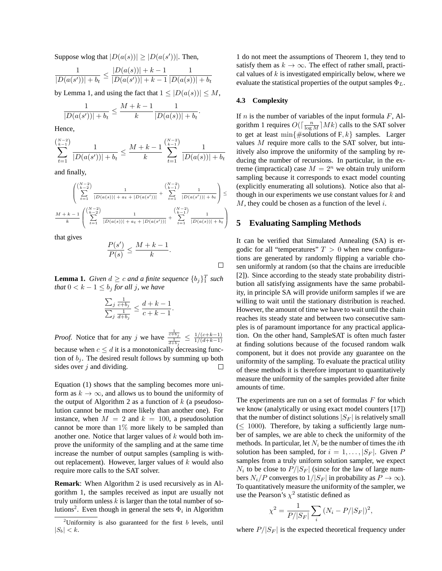Suppose wlog that  $|D(a(s))| \geq |D(a(s'))|$ . Then,

$$
\frac{1}{|D(a(s'))|+b_t} \le \frac{|D(a(s))|+k-1}{|D(a(s'))|+k-1}\frac{1}{|D(a(s))|+b_t}
$$

by Lemma 1, and using the fact that  $1 \leq |D(a(s))| \leq M$ ,

$$
\frac{1}{|D(a(s'))|+b_t} \le \frac{M+k-1}{k} \frac{1}{|D(a(s))|+b_t}.
$$

Hence,

$$
\sum_{t=1}^{\binom{N-2}{k-1}} \frac{1}{|D(a(s'))|+b_t} \le \frac{M+k-1}{k} \sum_{t=1}^{\binom{N-2}{k-1}} \frac{1}{|D(a(s))|+b_t}
$$

and finally,

$$
\frac{\left(\sum_{k=1}^{N-2}\right)}{\sum_{t=1}^{N-2}|\overline{D(a(s))}|+a_t+|D(a(s'))|}+\sum_{t=1}^{N-2}\frac{1}{|D(a(s'))|+b_t}\right)\le
$$
  

$$
\frac{M+k-1}{k}\left(\sum_{t=1}^{N-2}\frac{1}{|D(a(s))|+a_t+|D(a(s'))|}+\sum_{t=1}^{N-2}\frac{1}{|D(a(s))|+b_t}\right)
$$

that gives

$$
\frac{P(s')}{P(s)} \le \frac{M+k-1}{k}.
$$

**Lemma 1.** *Given*  $d \geq c$  *and a finite sequence*  $\{b_j\}_1^T$  *such that*  $0 < k - 1 \le b_j$  *for all j, we have* 

$$
\frac{\sum_{j} \frac{1}{c+b_j}}{\sum_{j} \frac{1}{d+b_j}} \le \frac{d+k-1}{c+k-1}.
$$

*Proof.* Notice that for any j we have  $\frac{\frac{1}{c+b_j}}{\frac{1}{d+b_j}} \leq \frac{1/(c+k-1)}{1/(d+k-1)}$  $1/(d+k-1)$ because when  $c \le d$  it is a monotonically decreasing function of  $b_i$ . The desired result follows by summing up both sides over  $j$  and dividing. □

Equation (1) shows that the sampling becomes more uniform as  $k \to \infty$ , and allows us to bound the uniformity of the output of Algorithm 2 as a function of  $k$  (a pseudosolution cannot be much more likely than another one). For instance, when  $M = 2$  and  $k = 100$ , a pseudosolution cannot be more than 1% more likely to be sampled than another one. Notice that larger values of  $k$  would both improve the uniformity of the sampling and at the same time increase the number of output samples (sampling is without replacement). However, larger values of  $k$  would also require more calls to the SAT solver.

**Remark**: When Algorithm 2 is used recursively as in Algorithm 1, the samples received as input are usually not truly uniform unless  $k$  is larger than the total number of solutions<sup>2</sup>. Even though in general the sets  $\Phi_i$  in Algorithm

1 do not meet the assumptions of Theorem 1, they tend to satisfy them as  $k \to \infty$ . The effect of rather small, practical values of  $k$  is investigated empirically below, where we evaluate the statistical properties of the output samples  $\Phi_L$ .

#### **4.3 Complexity**

 $\Box$ 

If  $n$  is the number of variables of the input formula  $F$ , Algorithm 1 requires  $O(\lceil \frac{n}{\log M} \rceil Mk)$  calls to the SAT solver to get at least min $\{\text{\#solutions of F}, k\}$  samples. Larger values M require more calls to the SAT solver, but intuitively also improve the uniformity of the sampling by reducing the number of recursions. In particular, in the extreme (impractical) case  $M = 2^n$  we obtain truly uniform sampling because it corresponds to exact model counting (explicitly enumerating all solutions). Notice also that although in our experiments we use constant values for  $k$  and  $M$ , they could be chosen as a function of the level  $i$ .

# **5 Evaluating Sampling Methods**

It can be verified that Simulated Annealing (SA) is ergodic for all "temperatures"  $T > 0$  when new configurations are generated by randomly flipping a variable chosen uniformly at random (so that the chains are irreducible [2]). Since according to the steady state probability distribution all satisfying assignments have the same probability, in principle SA will provide uniform samples if we are willing to wait until the stationary distribution is reached. However, the amount of time we have to wait until the chain reaches its steady state and between two consecutive samples is of paramount importance for any practical application. On the other hand, SampleSAT is often much faster at finding solutions because of the focused random walk component, but it does not provide any guarantee on the uniformity of the sampling. To evaluate the practical utility of these methods it is therefore important to quantitatively measure the uniformity of the samples provided after finite amounts of time.

The experiments are run on a set of formulas  $F$  for which we know (analytically or using exact model counters [17]) that the number of distinct solutions  $|S_F|$  is relatively small  $(< 1000)$ . Therefore, by taking a sufficiently large number of samples, we are able to check the uniformity of the methods. In particular, let  $N_i$  be the number of times the *i*th solution has been sampled, for  $i = 1, \ldots, |S_F|$ . Given P samples from a truly uniform solution sampler, we expect  $N_i$  to be close to  $P/|S_F|$  (since for the law of large numbers  $N_i/P$  converges to  $1/|S_F|$  in probability as  $P \to \infty$ ). To quantitatively measure the uniformity of the sampler, we use the Pearson's  $\chi^2$  statistic defined as

$$
\chi^2 = \frac{1}{P/|S_F|} \sum_i (N_i - P/|S_F|)^2,
$$

where  $P/|S_F|$  is the expected theoretical frequency under

<sup>&</sup>lt;sup>2</sup>Uniformity is also guaranteed for the first  $b$  levels, until  $|S_b| < k$ .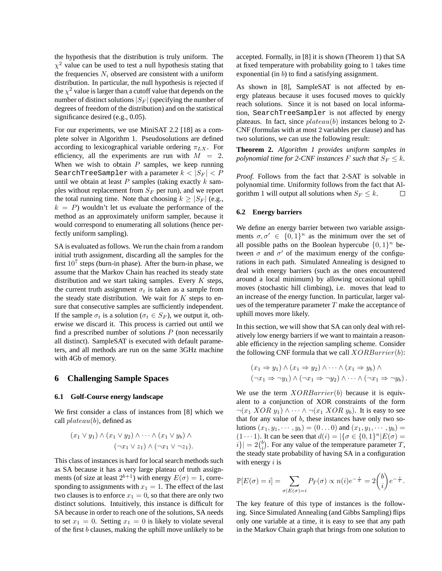the hypothesis that the distribution is truly uniform. The  $\chi^2$  value can be used to test a null hypothesis stating that the frequencies  $N_i$  observed are consistent with a uniform distribution. In particular, the null hypothesis is rejected if the  $\chi^2$  value is larger than a cutoff value that depends on the number of distinct solutions  $|S_F|$  (specifying the number of degrees of freedom of the distribution) and on the statistical significance desired (e.g., 0.05).

For our experiments, we use MiniSAT 2.2 [18] as a complete solver in Algorithm 1. Pseudosolutions are defined according to lexicographical variable ordering  $\pi_{LX}$ . For efficiency, all the experiments are run with  $M = 2$ . When we wish to obtain  $P$  samples, we keep running SearchTreeSampler with a parameter  $k < |S_F| < P$ until we obtain at least  $P$  samples (taking exactly  $k$  samples without replacement from  $S_F$  per run), and we report the total running time. Note that choosing  $k \geq |S_F|$  (e.g.,  $k = P$ ) wouldn't let us evaluate the performance of the method as an approximately uniform sampler, because it would correspond to enumerating all solutions (hence perfectly uniform sampling).

SA is evaluated as follows. We run the chain from a random initial truth assignment, discarding all the samples for the first  $10^7$  steps (burn-in phase). After the burn-in phase, we assume that the Markov Chain has reached its steady state distribution and we start taking samples. Every  $K$  steps, the current truth assignment  $\sigma_t$  is taken as a sample from the steady state distribution. We wait for  $K$  steps to ensure that consecutive samples are sufficiently independent. If the sample  $\sigma_t$  is a solution ( $\sigma_t \in S_F$ ), we output it, otherwise we discard it. This process is carried out until we find a prescribed number of solutions  $P$  (non necessarily all distinct). SampleSAT is executed with default parameters, and all methods are run on the same 3GHz machine with 4Gb of memory.

## **6 Challenging Sample Spaces**

#### **6.1 Golf-Course energy landscape**

We first consider a class of instances from [8] which we call  $plateau(b)$ , defined as

$$
(x_1 \vee y_1) \wedge (x_1 \vee y_2) \wedge \cdots \wedge (x_1 \vee y_b) \wedge (\neg x_1 \vee z_1) \wedge (\neg x_1 \vee \neg z_1).
$$

This class of instances is hard for local search methods such as SA because it has a very large plateau of truth assignments (of size at least  $2^{b+1}$ ) with energy  $E(\sigma) = 1$ , corresponding to assignments with  $x_1 = 1$ . The effect of the last two clauses is to enforce  $x_1 = 0$ , so that there are only two distinct solutions. Intuitively, this instance is difficult for SA because in order to reach one of the solutions, SA needs to set  $x_1 = 0$ . Setting  $x_1 = 0$  is likely to violate several of the first b clauses, making the uphill move unlikely to be accepted. Formally, in [8] it is shown (Theorem 1) that SA at fixed temperature with probability going to 1 takes time exponential (in  $b$ ) to find a satisfying assignment.

As shown in [8], SampleSAT is not affected by energy plateaus because it uses focused moves to quickly reach solutions. Since it is not based on local information, SearchTreeSampler is not affected by energy plateaus. In fact, since  $plateau(b)$  instances belong to 2-CNF (formulas with at most 2 variables per clause) and has two solutions, we can use the following result:

**Theorem 2.** *Algorithm 1 provides uniform samples in polynomial time for 2-CNF instances* F *such that*  $S_F \leq k$ .

*Proof.* Follows from the fact that 2-SAT is solvable in polynomial time. Uniformity follows from the fact that Algorithm 1 will output all solutions when  $S_F \leq k$ .  $\Box$ 

#### **6.2 Energy barriers**

We define an energy barrier between two variable assignments  $\sigma, \sigma' \in \{0, 1\}^n$  as the minimum over the set of all possible paths on the Boolean hypercube  $\{0,1\}^n$  between  $\sigma$  and  $\sigma'$  of the maximum energy of the configurations in each path. Simulated Annealing is designed to deal with energy barriers (such as the ones encountered around a local minimum) by allowing occasional uphill moves (stochastic hill climbing), i.e. moves that lead to an increase of the energy function. In particular, larger values of the temperature parameter  $T$  make the acceptance of uphill moves more likely.

In this section, we will show that SA can only deal with relatively low energy barriers if we want to maintain a reasonable efficiency in the rejection sampling scheme. Consider the following CNF formula that we call  $XORBarrier(b)$ :

$$
(x_1 \Rightarrow y_1) \land (x_1 \Rightarrow y_2) \land \cdots \land (x_1 \Rightarrow y_b) \land (\neg x_1 \Rightarrow \neg y_1) \land (\neg x_1 \Rightarrow \neg y_2) \land \cdots \land (\neg x_1 \Rightarrow \neg y_b).
$$

We use the term  $XORBarrier(b)$  because it is equivalent to a conjunction of XOR constraints of the form  $\neg(x_1 XOR y_1) \wedge \cdots \wedge \neg(x_1 XOR y_b)$ . It is easy to see that for any value of  $b$ , these instances have only two solutions  $(x_1, y_1, \dots, y_b) = (0 \dots 0)$  and  $(x_1, y_1, \dots, y_b) =$  $(1 \cdots 1)$ . It can be seen that  $d(i) = |\{\sigma \in \{0, 1\}^n | E(\sigma) =$  $|i\rangle| = 2\binom{b}{i}$ . For any value of the temperature parameter T, the steady state probability of having SA in a configuration with energy  $i$  is

$$
\mathbb{P}[E(\sigma) = i] = \sum_{\sigma | E(\sigma) = i} P_T(\sigma) \propto n(i) e^{-\frac{i}{T}} = 2 {b \choose i} e^{-\frac{i}{T}}.
$$

The key feature of this type of instances is the following. Since Simulated Annealing (and Gibbs Sampling) flips only one variable at a time, it is easy to see that any path in the Markov Chain graph that brings from one solution to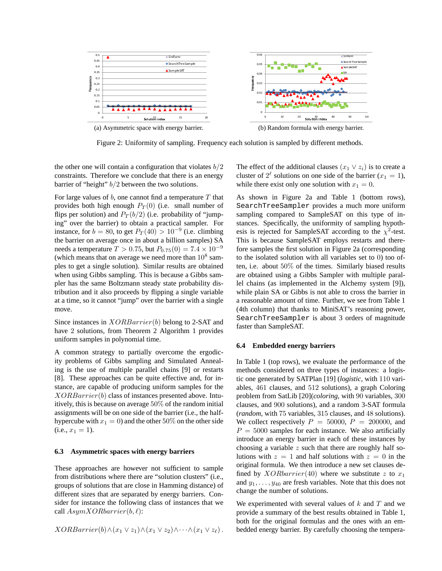

Figure 2: Uniformity of sampling. Frequency each solution is sampled by different methods.

the other one will contain a configuration that violates  $b/2$ constraints. Therefore we conclude that there is an energy barrier of "height"  $b/2$  between the two solutions.

For large values of  $b$ , one cannot find a temperature  $T$  that provides both high enough  $P_T(0)$  (i.e. small number of flips per solution) and  $P_T(b/2)$  (i.e. probability of "jumping" over the barrier) to obtain a practical sampler. For instance, for  $b = 80$ , to get  $P_T(40) > 10^{-9}$  (i.e. climbing the barrier on average once in about a billion samples) SA needs a temperature  $T > 0.75$ , but  $P_{0.75}(0) = 7.4 \times 10^{-9}$ (which means that on average we need more than  $10^8$  samples to get a single solution). Similar results are obtained when using Gibbs sampling. This is because a Gibbs sampler has the same Boltzmann steady state probability distribution and it also proceeds by flipping a single variable at a time, so it cannot "jump" over the barrier with a single move.

Since instances in  $XORBarrier(b)$  belong to 2-SAT and have 2 solutions, from Theorem 2 Algorithm 1 provides uniform samples in polynomial time.

A common strategy to partially overcome the ergodicity problems of Gibbs sampling and Simulated Annealing is the use of multiple parallel chains [9] or restarts [8]. These approaches can be quite effective and, for instance, are capable of producing uniform samples for the  $XORBarrier(b)$  class of instances presented above. Intuitively, this is because on average 50% of the random initial assignments will be on one side of the barrier (i.e., the halfhypercube with  $x_1 = 0$ ) and the other 50% on the other side  $(i.e.,  $x_1 = 1$ ).$ 

#### **6.3 Asymmetric spaces with energy barriers**

These approaches are however not sufficient to sample from distributions where there are "solution clusters" (i.e., groups of solutions that are close in Hamming distance) of different sizes that are separated by energy barriers. Consider for instance the following class of instances that we call  $AsymXORbarrier(b, \ell)$ :

 $XORBarrier(b) \wedge (x_1 \vee z_1) \wedge (x_1 \vee z_2) \wedge \cdots \wedge (x_1 \vee z_{\ell}).$ 

The effect of the additional clauses  $(x_1 \vee z_i)$  is to create a cluster of  $2^{\ell}$  solutions on one side of the barrier  $(x_1 = 1)$ , while there exist only one solution with  $x_1 = 0$ .

As shown in Figure 2a and Table 1 (bottom rows), SearchTreeSampler provides a much more uniform sampling compared to SampleSAT on this type of instances. Specifically, the uniformity of sampling hypothesis is rejected for SampleSAT according to the  $\chi^2$ -test. This is because SampleSAT employs restarts and therefore samples the first solution in Figure 2a (corresponding to the isolated solution with all variables set to 0) too often, i.e. about 50% of the times. Similarly biased results are obtained using a Gibbs Sampler with multiple parallel chains (as implemented in the Alchemy system [9]), while plain SA or Gibbs is not able to cross the barrier in a reasonable amount of time. Further, we see from Table 1 (4th column) that thanks to MiniSAT's reasoning power, SearchTreeSampler is about 3 orders of magnitude faster than SampleSAT.

#### **6.4 Embedded energy barriers**

In Table 1 (top rows), we evaluate the performance of the methods considered on three types of instances: a logistic one generated by SATPlan [19] (*logistic*, with 110 variables, 461 clauses, and 512 solutions), a graph Coloring problem from SatLib [20](*coloring*, with 90 variables, 300 clauses, and 900 solutions), and a random 3-SAT formula (*random*, with 75 variables, 315 clauses, and 48 solutions). We collect respectively  $P = 50000$ ,  $P = 200000$ , and  $P = 5000$  samples for each instance. We also artificially introduce an energy barrier in each of these instances by choosing a variable  $z$  such that there are roughly half solutions with  $z = 1$  and half solutions with  $z = 0$  in the original formula. We then introduce a new set clauses defined by  $XORbarrier(40)$  where we substitute z to  $x_1$ and  $y_1, \ldots, y_{40}$  are fresh variables. Note that this does not change the number of solutions.

We experimented with several values of  $k$  and  $T$  and we provide a summary of the best results obtained in Table 1, both for the original formulas and the ones with an embedded energy barrier. By carefully choosing the tempera-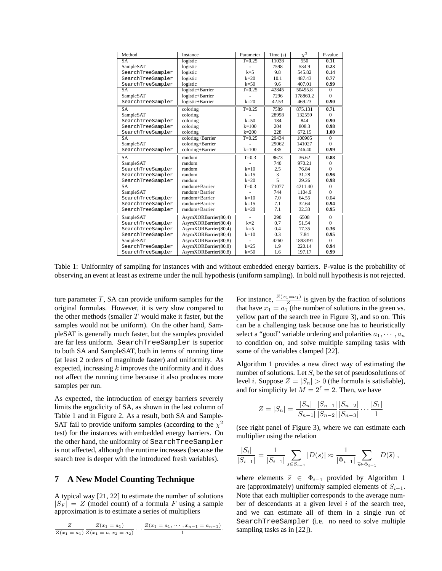| Method                 | Instance             | Parameter  | Time(s) | $\chi^2$ | P-value        |
|------------------------|----------------------|------------|---------|----------|----------------|
| <b>SA</b>              | logistic             | $T=0.25$   | 11028   | 550      | 0.11           |
| SampleSAT              | logistic             |            | 7598    | 534.9    | 0.23           |
| SearchTreeSampler      | logistic             | $k=5$      | 9.8     | 545.82   | 0.14           |
| SearchTreeSampler      | logistic             | $k=20$     | 10.1    | 487.43   | 0.77           |
| SearchTreeSampler      | logistic             | $k=50$     | 9.6     | 407.01   | 0.99           |
| SA                     | logistic+Barrier     | $T = 0.25$ | 42845   | 50495.8  | $\overline{0}$ |
| SampleSAT              | logistic+Barrier     |            | 7296    | 178860.2 | $\Omega$       |
| SearchTreeSampler      | logistic+Barrier     | $k=20$     | 42.53   | 469.23   | 0.90           |
| SA                     | coloring             | $T = 0.25$ | 7589    | 875.131  | 0.71           |
| SampleSAT              | coloring             |            | 28998   | 132559   | $\theta$       |
| SearchTreeSampler      | coloring             | $k=50$     | 184     | 844      | 0.90           |
| SearchTreeSampler      | coloring             | $k = 100$  | 204     | 808.3    | 0.98           |
| SearchTreeSampler      | coloring             | $k = 200$  | 228     | 672.15   | 1.00           |
| <b>SA</b>              | coloring+Barrier     | $T=0.25$   | 29434   | 100905   | $\mathbf{0}$   |
| SampleSAT              | coloring+Barrier     |            | 29062   | 141027   | $\Omega$       |
| SearchTreeSampler      | coloring+Barrier     | $k = 100$  | 435     | 746.40   | 0.99           |
| <b>SA</b>              | random               | $T=0.3$    | 8673    | 36.62    | 0.88           |
| SampleSAT              | random               |            | 740     | 970.21   | $\mathbf{0}$   |
| SearchTreeSampler      | random               | $k=10$     | 2.5     | 76.84    | $\Omega$       |
| SearchTreeSampler      | random               | $k=1.5$    | 3       | 31.28    | 0.96           |
| SearchTreeSampler      | random               | $k=20$     | 5       | 29.26    | 0.98           |
| $\overline{\text{SA}}$ | $random + Barrier$   | $T=0.3$    | 71077   | 4211.40  | $\overline{0}$ |
| SampleSAT              | random+Barrier       |            | 744     | 1104.9   | $\theta$       |
| SearchTreeSampler      | random+Barrier       | $k=10$     | 7.0     | 64.55    | 0.04           |
| SearchTreeSampler      | random+Barrier       | $k=15$     | 7.1     | 32.64    | 0.94           |
| SearchTreeSampler      | random+Barrier       | $k=20$     | 7.1     | 32.33    | 0.95           |
| SampleSAT              | AsymXORBarrier(80,4) |            | 290     | 6508     | $\overline{0}$ |
| SearchTreeSampler      | AsymXORBarrier(80,4) | $k=2$      | 0.7     | 51.54    | $\mathbf{0}$   |
| SearchTreeSampler      | AsymXORBarrier(80,4) | $k=5$      | 0.4     | 17.35    | 0.36           |
| SearchTreeSampler      | AsymXORBarrier(80,4) | $k=10$     | 0.3     | 7.84     | 0.95           |
| SampleSAT              | AsymXORBarrier(80,8) |            | 4260    | 1893391  | $\overline{0}$ |
| SearchTreeSampler      | AsymXORBarrier(80,8) | $k=25$     | 1.9     | 220.14   | 0.94           |
| SearchTreeSampler      | AsymXORBarrier(80.8) | $k=50$     | 1.6     | 197.17   | 0.99           |

Table 1: Uniformity of sampling for instances with and without embedded energy barriers. P-value is the probability of observing an event at least as extreme under the null hypothesis (uniform sampling). In bold null hypothesis is not rejected.

ture parameter  $T$ , SA can provide uniform samples for the original formulas. However, it is very slow compared to the other methods (smaller  $T$  would make it faster, but the samples would not be uniform). On the other hand, SampleSAT is generally much faster, but the samples provided are far less uniform. SearchTreeSampler is superior to both SA and SampleSAT, both in terms of running time (at least 2 orders of magnitude faster) and uniformity. As expected, increasing  $k$  improves the uniformity and it does not affect the running time because it also produces more samples per run.

As expected, the introduction of energy barriers severely limits the ergodicity of SA, as shown in the last column of Table 1 and in Figure 2. As a result, both SA and Sample-SAT fail to provide uniform samples (according to the  $\chi^2$ test) for the instances with embedded energy barriers. On the other hand, the uniformity of SearchTreeSampler is not affected, although the runtime increases (because the search tree is deeper with the introduced fresh variables).

# **7 A New Model Counting Technique**

A typical way [21, 22] to estimate the number of solutions  $|S_F| = Z$  (model count) of a formula F using a sample approximation is to estimate a series of multipliers

Z  $Z(x_1 = a_1)$  $Z(x_1 = a_1)$  $\frac{Z(x_1=a_1)}{Z(x_1=a,x_2=a_2)} \cdots \frac{Z(x_1=a_1,\cdots,x_{n-1}=a_{n-1})}{1}$  $\frac{1}{1}$ .

For instance,  $\frac{Z(x_1=a_1)}{Z}$  is given by the fraction of solutions that have  $x_1 = a_1$  (the number of solutions in the green vs. yellow part of the search tree in Figure 3), and so on. This can be a challenging task because one has to heuristically select a "good" variable ordering and polarities  $a_1, \dots, a_n$ to condition on, and solve multiple sampling tasks with some of the variables clamped [22].

Algorithm 1 provides a new direct way of estimating the number of solutions. Let  $S_i$  be the set of pseudosolutions of level *i*. Suppose  $Z = |S_n| > 0$  (the formula is satisfiable), and for simplicity let  $M = 2^{\ell} = 2$ . Then, we have

$$
Z = |S_n| = \frac{|S_n|}{|S_{n-1}|} \frac{|S_{n-1}|}{|S_{n-2}|} \frac{|S_{n-2}|}{|S_{n-3}|} \cdots \frac{|S_1|}{1}
$$

(see right panel of Figure 3), where we can estimate each multiplier using the relation

$$
\frac{|S_i|}{|S_{i-1}|} = \frac{1}{|S_{i-1}|} \sum_{s \in S_{i-1}} |D(s)| \approx \frac{1}{|\Phi_{i-1}|} \sum_{\tilde{s} \in \Phi_{i-1}} |D(\tilde{s})|,
$$

where elements  $\tilde{s} \in \Phi_{i-1}$  provided by Algorithm 1 are (approximately) uniformly sampled elements of  $S_{i-1}$ . Note that each multiplier corresponds to the average number of descendants at a given level  $i$  of the search tree, and we can estimate all of them in a single run of SearchTreeSampler (i.e. no need to solve multiple sampling tasks as in [22]).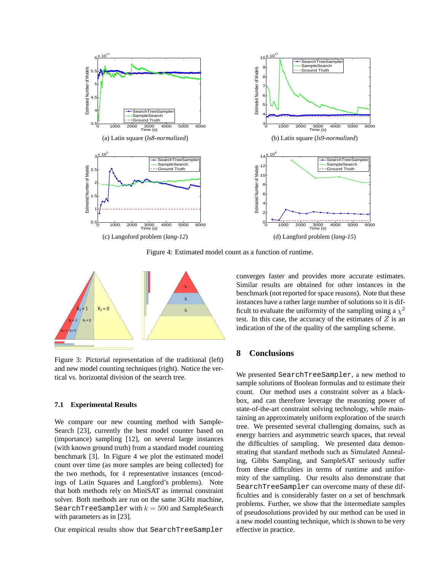

Figure 4: Estimated model count as a function of runtime.



Figure 3: Pictorial representation of the traditional (left) and new model counting techniques (right). Notice the vertical vs. horizontal division of the search tree.

#### **7.1 Experimental Results**

We compare our new counting method with Sample-Search [23], currently the best model counter based on (importance) sampling [12], on several large instances (with known ground truth) from a standard model counting benchmark [3]. In Figure 4 we plot the estimated model count over time (as more samples are being collected) for the two methods, for 4 representative instances (encodings of Latin Squares and Langford's problems). Note that both methods rely on MiniSAT as internal constraint solver. Both methods are run on the same 3GHz machine, SearchTreeSampler with  $k = 500$  and SampleSearch with parameters as in [23].

Our empirical results show that SearchTreeSampler

converges faster and provides more accurate estimates. Similar results are obtained for other instances in the benchmark (not reported for space reasons). Note that these instances have a rather large number of solutions so it is difficult to evaluate the uniformity of the sampling using a  $\chi^2$ test. In this case, the accuracy of the estimates of  $Z$  is an indication of the of the quality of the sampling scheme.

# **8 Conclusions**

We presented SearchTreeSampler, a new method to sample solutions of Boolean formulas and to estimate their count. Our method uses a constraint solver as a blackbox, and can therefore leverage the reasoning power of state-of-the-art constraint solving technology, while maintaining an approximately uniform exploration of the search tree. We presented several challenging domains, such as energy barriers and asymmetric search spaces, that reveal the difficulties of sampling. We presented data demonstrating that standard methods such as Simulated Annealing, Gibbs Sampling, and SampleSAT seriously suffer from these difficulties in terms of runtime and uniformity of the sampling. Our results also demonstrate that SearchTreeSampler can overcome many of these difficulties and is considerably faster on a set of benchmark problems. Further, we show that the intermediate samples of pseudosolutions provided by our method can be used in a new model counting technique, which is shown to be very effective in practice.